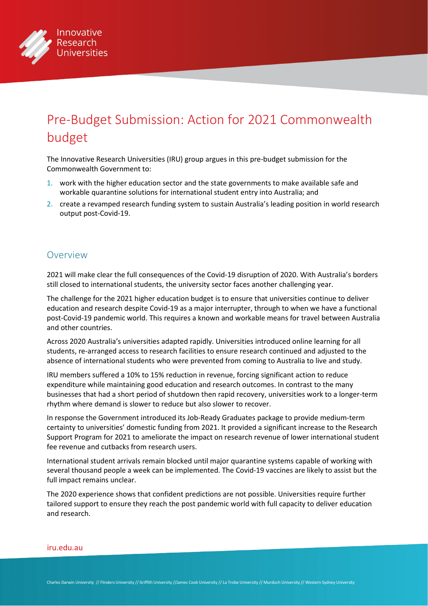

# Pre-Budget Submission: Action for 2021 Commonwealth budget

The Innovative Research Universities (IRU) group argues in this pre-budget submission for the Commonwealth Government to:

- 1. work with the higher education sector and the state governments to make available safe and workable quarantine solutions for international student entry into Australia; and
- 2. create a revamped research funding system to sustain Australia's leading position in world research output post-Covid-19.

#### Overview

2021 will make clear the full consequences of the Covid-19 disruption of 2020. With Australia's borders still closed to international students, the university sector faces another challenging year.

The challenge for the 2021 higher education budget is to ensure that universities continue to deliver education and research despite Covid-19 as a major interrupter, through to when we have a functional post-Covid-19 pandemic world. This requires a known and workable means for travel between Australia and other countries.

Across 2020 Australia's universities adapted rapidly. Universities introduced online learning for all students, re-arranged access to research facilities to ensure research continued and adjusted to the absence of international students who were prevented from coming to Australia to live and study.

IRU members suffered a 10% to 15% reduction in revenue, forcing significant action to reduce expenditure while maintaining good education and research outcomes. In contrast to the many businesses that had a short period of shutdown then rapid recovery, universities work to a longer-term rhythm where demand is slower to reduce but also slower to recover.

In response the Government introduced its Job-Ready Graduates package to provide medium-term certainty to universities' domestic funding from 2021. It provided a significant increase to the Research Support Program for 2021 to ameliorate the impact on research revenue of lower international student fee revenue and cutbacks from research users.

International student arrivals remain blocked until major quarantine systems capable of working with several thousand people a week can be implemented. The Covid-19 vaccines are likely to assist but the full impact remains unclear.

The 2020 experience shows that confident predictions are not possible. Universities require further tailored support to ensure they reach the post pandemic world with full capacity to deliver education and research.

#### [iru.edu.au](http://iru.edu.au)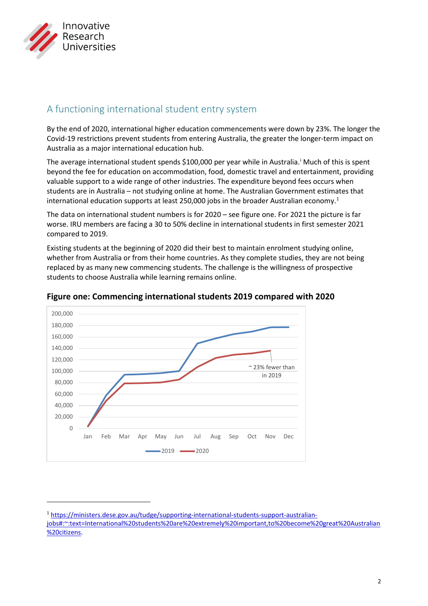

## A functioning international student entry system

By the end of 2020, international higher education commencements were down by 23%. The longer the Covid-19 restrictions prevent students from entering Australia, the greater the longer-term impact on Australia as a major international education hub.

The average [i](#page-3-0)nternational student spends \$100,000 per year while in Australia.<sup>*I*</sup> Much of this is spent beyond the fee for education on accommodation, food, domestic travel and entertainment, providing valuable support to a wide range of other industries. The expenditure beyond fees occurs when students are in Australia – not studying online at home. The Australian Government estimates that international education supports at least 250,000 jobs in the broader Australian economy.<sup>[1](#page-1-0)</sup>

The data on international student numbers is for 2020 – see figure one. For 2021 the picture is far worse. IRU members are facing a 30 to 50% decline in international students in first semester 2021 compared to 2019.

Existing students at the beginning of 2020 did their best to maintain enrolment studying online, whether from Australia or from their home countries. As they complete studies, they are not being replaced by as many new commencing students. The challenge is the willingness of prospective students to choose Australia while learning remains online.



#### **Figure one: Commencing international students 2019 compared with 2020**

<span id="page-1-0"></span><sup>1</sup> [https://ministers.dese.gov.au/tudge/supporting-international-students-support-australian-](https://ministers.dese.gov.au/tudge/supporting-international-students-support-australian-jobs#:%7E:text=International%20students%20are%20extremely%20important,to%20become%20great%20Australian%20citizens)

[jobs#:~:text=International%20students%20are%20extremely%20important,to%20become%20great%20Australian](https://ministers.dese.gov.au/tudge/supporting-international-students-support-australian-jobs#:%7E:text=International%20students%20are%20extremely%20important,to%20become%20great%20Australian%20citizens) [%20citizens.](https://ministers.dese.gov.au/tudge/supporting-international-students-support-australian-jobs#:%7E:text=International%20students%20are%20extremely%20important,to%20become%20great%20Australian%20citizens)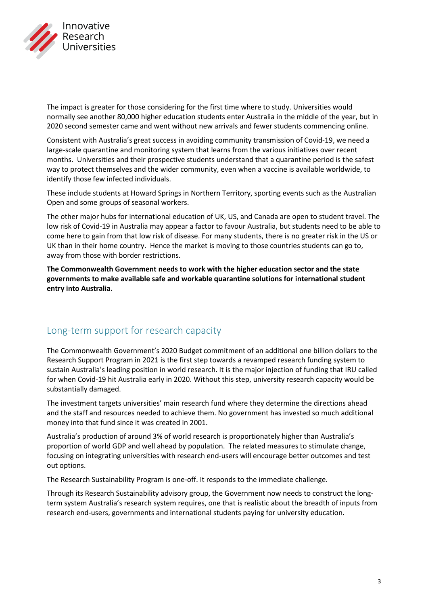

The impact is greater for those considering for the first time where to study. Universities would normally see another 80,000 higher education students enter Australia in the middle of the year, but in 2020 second semester came and went without new arrivals and fewer students commencing online.

Consistent with Australia's great success in avoiding community transmission of Covid-19, we need a large-scale quarantine and monitoring system that learns from the various initiatives over recent months. Universities and their prospective students understand that a quarantine period is the safest way to protect themselves and the wider community, even when a vaccine is available worldwide, to identify those few infected individuals.

These include students at Howard Springs in Northern Territory, sporting events such as the Australian Open and some groups of seasonal workers.

The other major hubs for international education of UK, US, and Canada are open to student travel. The low risk of Covid-19 in Australia may appear a factor to favour Australia, but students need to be able to come here to gain from that low risk of disease. For many students, there is no greater risk in the US or UK than in their home country. Hence the market is moving to those countries students can go to, away from those with border restrictions.

**The Commonwealth Government needs to work with the higher education sector and the state governments to make available safe and workable quarantine solutions for international student entry into Australia.**

### Long-term support for research capacity

The Commonwealth Government's 2020 Budget commitment of an additional one billion dollars to the Research Support Program in 2021 is the first step towards a revamped research funding system to sustain Australia's leading position in world research. It is the major injection of funding that IRU called for when Covid-19 hit Australia early in 2020. Without this step, university research capacity would be substantially damaged.

The investment targets universities' main research fund where they determine the directions ahead and the staff and resources needed to achieve them. No government has invested so much additional money into that fund since it was created in 2001.

Australia's production of around 3% of world research is proportionately higher than Australia's proportion of world GDP and well ahead by population. The related measures to stimulate change, focusing on integrating universities with research end-users will encourage better outcomes and test out options.

The Research Sustainability Program is one-off. It responds to the immediate challenge.

Through its Research Sustainability advisory group, the Government now needs to construct the longterm system Australia's research system requires, one that is realistic about the breadth of inputs from research end-users, governments and international students paying for university education.